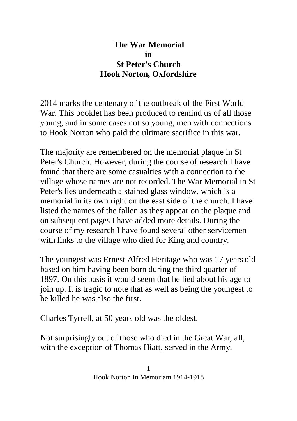#### **The War Memorial in St Peter's Church Hook Norton, Oxfordshire**

2014 marks the centenary of the outbreak of the First World War. This booklet has been produced to remind us of all those young, and in some cases not so young, men with connections to Hook Norton who paid the ultimate sacrifice in this war.

The majority are remembered on the memorial plaque in St Peter's Church. However, during the course of research I have found that there are some casualties with a connection to the village whose names are not recorded. The War Memorial in St Peter's lies underneath a stained glass window, which is a memorial in its own right on the east side of the church. I have listed the names of the fallen as they appear on the plaque and on subsequent pages I have added more details. During the course of my research I have found several other servicemen with links to the village who died for King and country.

The youngest was Ernest Alfred Heritage who was 17 years old based on him having been born during the third quarter of 1897. On this basis it would seem that he lied about his age to join up. It is tragic to note that as well as being the youngest to be killed he was also the first.

Charles Tyrrell, at 50 years old was the oldest.

Not surprisingly out of those who died in the Great War, all, with the exception of Thomas Hiatt, served in the Army.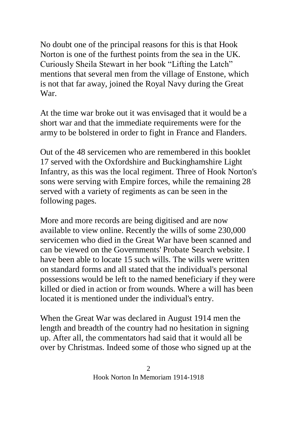No doubt one of the principal reasons for this is that Hook Norton is one of the furthest points from the sea in the UK. Curiously Sheila Stewart in her book "Lifting the Latch" mentions that several men from the village of Enstone, which is not that far away, joined the Royal Navy during the Great War.

At the time war broke out it was envisaged that it would be a short war and that the immediate requirements were for the army to be bolstered in order to fight in France and Flanders.

Out of the 48 servicemen who are remembered in this booklet 17 served with the Oxfordshire and Buckinghamshire Light Infantry, as this was the local regiment. Three of Hook Norton's sons were serving with Empire forces, while the remaining 28 served with a variety of regiments as can be seen in the following pages.

More and more records are being digitised and are now available to view online. Recently the wills of some 230,000 servicemen who died in the Great War have been scanned and can be viewed on the Governments' Probate Search website. I have been able to locate 15 such wills. The wills were written on standard forms and all stated that the individual's personal possessions would be left to the named beneficiary if they were killed or died in action or from wounds. Where a will has been located it is mentioned under the individual's entry.

When the Great War was declared in August 1914 men the length and breadth of the country had no hesitation in signing up. After all, the commentators had said that it would all be over by Christmas. Indeed some of those who signed up at the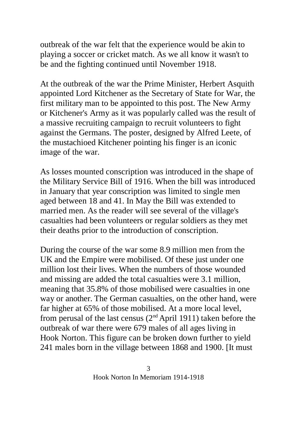outbreak of the war felt that the experience would be akin to playing a soccer or cricket match. As we all know it wasn't to be and the fighting continued until November 1918.

At the outbreak of the war the Prime Minister, Herbert Asquith appointed Lord Kitchener as the Secretary of State for War, the first military man to be appointed to this post. The New Army or Kitchener's Army as it was popularly called was the result of a massive recruiting campaign to recruit volunteers to fight against the Germans. The poster, designed by Alfred Leete, of the mustachioed Kitchener pointing his finger is an iconic image of the war.

As losses mounted conscription was introduced in the shape of the Military Service Bill of 1916. When the bill was introduced in January that year conscription was limited to single men aged between 18 and 41. In May the Bill was extended to married men. As the reader will see several of the village's casualties had been volunteers or regular soldiers as they met their deaths prior to the introduction of conscription.

During the course of the war some 8.9 million men from the UK and the Empire were mobilised. Of these just under one million lost their lives. When the numbers of those wounded and missing are added the total casualties were 3.1 million, meaning that 35.8% of those mobilised were casualties in one way or another. The German casualties, on the other hand, were far higher at 65% of those mobilised. At a more local level, from perusal of the last census  $(2<sup>nd</sup>$  April 1911) taken before the outbreak of war there were 679 males of all ages living in Hook Norton. This figure can be broken down further to yield 241 males born in the village between 1868 and 1900. [It must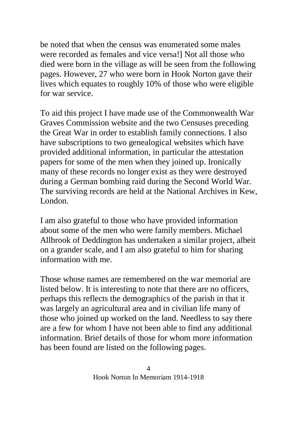be noted that when the census was enumerated some males were recorded as females and vice versa!] Not all those who died were born in the village as will be seen from the following pages. However, 27 who were born in Hook Norton gave their lives which equates to roughly 10% of those who were eligible for war service.

To aid this project I have made use of the Commonwealth War Graves Commission website and the two Censuses preceding the Great War in order to establish family connections. I also have subscriptions to two genealogical websites which have provided additional information, in particular the attestation papers for some of the men when they joined up. Ironically many of these records no longer exist as they were destroyed during a German bombing raid during the Second World War. The surviving records are held at the National Archives in Kew, London.

I am also grateful to those who have provided information about some of the men who were family members. Michael Allbrook of Deddington has undertaken a similar project, albeit on a grander scale, and I am also grateful to him for sharing information with me.

Those whose names are remembered on the war memorial are listed below. It is interesting to note that there are no officers, perhaps this reflects the demographics of the parish in that it was largely an agricultural area and in civilian life many of those who joined up worked on the land. Needless to say there are a few for whom I have not been able to find any additional information. Brief details of those for whom more information has been found are listed on the following pages.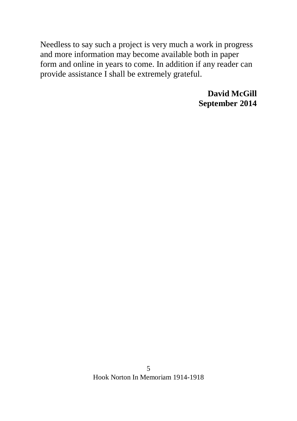Needless to say such a project is very much a work in progress and more information may become available both in paper form and online in years to come. In addition if any reader can provide assistance I shall be extremely grateful.

> **David McGill September 2014**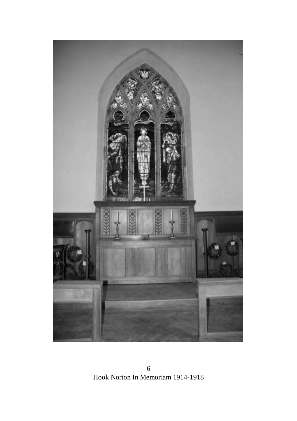

6 Hook Norton In Memoriam 1914-1918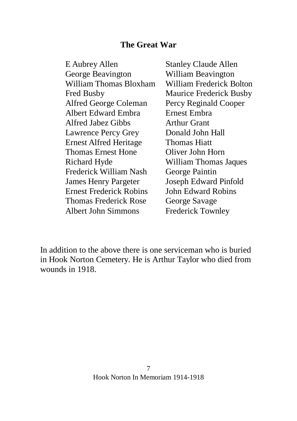#### **The Great War**

E Aubrey Allen Stanley Claude Allen George Beavington William Beavington William Thomas Bloxham William Frederick Bolton Fred Busby Maurice Frederick Busby Alfred George Coleman Percy Reginald Cooper Albert Edward Embra Ernest Embra Alfred Jabez Gibbs Arthur Grant Lawrence Percy Grey Donald John Hall Ernest Alfred Heritage Thomas Hiatt Thomas Ernest Hone Oliver John Horn Richard Hyde William Thomas Jaques Frederick William Nash George Paintin James Henry Pargeter Joseph Edward Pinfold Ernest Frederick Robins John Edward Robins Thomas Frederick Rose George Savage Albert John Simmons Frederick Townley

In addition to the above there is one serviceman who is buried in Hook Norton Cemetery. He is Arthur Taylor who died from wounds in 1918.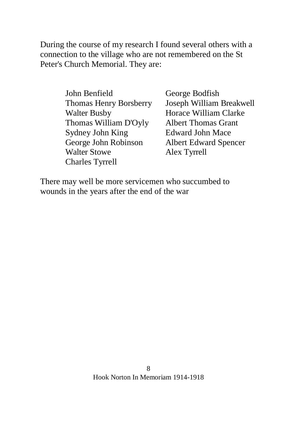During the course of my research I found several others with a connection to the village who are not remembered on the St Peter's Church Memorial. They are:

> John Benfield George Bodfish Walter Busby **Horace William Clarke** Thomas William D'Oyly Albert Thomas Grant Sydney John King Edward John Mace George John Robinson Albert Edward Spencer Walter Stowe Alex Tyrrell Charles Tyrrell

Thomas Henry Borsberry Joseph William Breakwell

There may well be more servicemen who succumbed to wounds in the years after the end of the war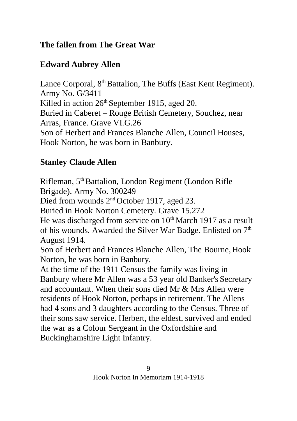#### **The fallen from The Great War**

## **Edward Aubrey Allen**

Lance Corporal, 8<sup>th</sup> Battalion, The Buffs (East Kent Regiment). Army No. G/3411 Killed in action  $26<sup>th</sup>$  September 1915, aged 20. Buried in Caberet – Rouge British Cemetery, Souchez, near Arras, France. Grave VI.G.26 Son of Herbert and Frances Blanche Allen, Council Houses, Hook Norton, he was born in Banbury.

# **Stanley Claude Allen**

Rifleman, 5th Battalion, London Regiment (London Rifle Brigade). Army No. 300249 Died from wounds 2nd October 1917, aged 23. Buried in Hook Norton Cemetery. Grave 15.272 He was discharged from service on  $10<sup>th</sup>$  March 1917 as a result of his wounds. Awarded the Silver War Badge. Enlisted on  $7<sup>th</sup>$ August 1914. Son of Herbert and Frances Blanche Allen, The Bourne, Hook Norton, he was born in Banbury. At the time of the 1911 Census the family was living in Banbury where Mr Allen was a 53 year old Banker's Secretary and accountant. When their sons died Mr & Mrs Allen were residents of Hook Norton, perhaps in retirement. The Allens had 4 sons and 3 daughters according to the Census. Three of their sons saw service. Herbert, the eldest, survived and ended the war as a Colour Sergeant in the Oxfordshire and Buckinghamshire Light Infantry.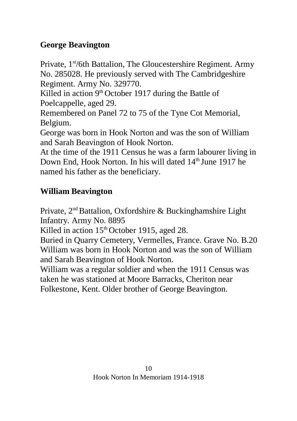## **George Beavington**

Private, 1<sup>st</sup>/6th Battalion, The Gloucestershire Regiment. Army No. 285028. He previously served with The Cambridgeshire Regiment. Army No. 329770.

Killed in action  $9<sup>th</sup>$  October 1917 during the Battle of Poelcappelle, aged 29.

Remembered on Panel 72 to 75 of the Tyne Cot Memorial, Belgium.

George was born in Hook Norton and was the son of William and Sarah Beavington of Hook Norton.

At the time of the 1911 Census he was a farm labourer living in Down End, Hook Norton. In his will dated 14<sup>th</sup> June 1917 he named his father as the beneficiary.

# **William Beavington**

Private, 2nd Battalion, Oxfordshire & Buckinghamshire Light Infantry. Army No. 8895

Killed in action  $15<sup>th</sup>$  October 1915, aged 28.

Buried in Quarry Cemetery, Vermelles, France. Grave No. B.20 William was born in Hook Norton and was the son of William and Sarah Beavington of Hook Norton.

William was a regular soldier and when the 1911 Census was taken he was stationed at Moore Barracks, Cheriton near Folkestone, Kent. Older brother of George Beavington.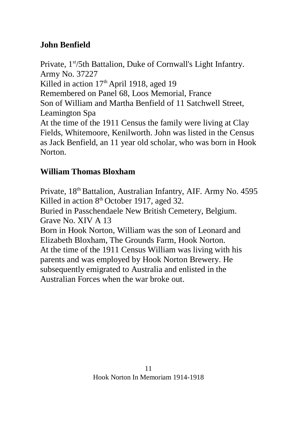## **John Benfield**

Private, 1<sup>st</sup>/5th Battalion, Duke of Cornwall's Light Infantry. Army No. 37227 Killed in action  $17<sup>th</sup>$  April 1918, aged 19 Remembered on Panel 68, Loos Memorial, France Son of William and Martha Benfield of 11 Satchwell Street, Leamington Spa At the time of the 1911 Census the family were living at Clay Fields, Whitemoore, Kenilworth. John was listed in the Census as Jack Benfield, an 11 year old scholar, who was born in Hook Norton.

# **William Thomas Bloxham**

Private, 18th Battalion, Australian Infantry, AIF. Army No. 4595 Killed in action  $8<sup>th</sup>$  October 1917, aged 32. Buried in Passchendaele New British Cemetery, Belgium. Grave No. XIV A 13 Born in Hook Norton, William was the son of Leonard and Elizabeth Bloxham, The Grounds Farm, Hook Norton. At the time of the 1911 Census William was living with his parents and was employed by Hook Norton Brewery. He subsequently emigrated to Australia and enlisted in the Australian Forces when the war broke out.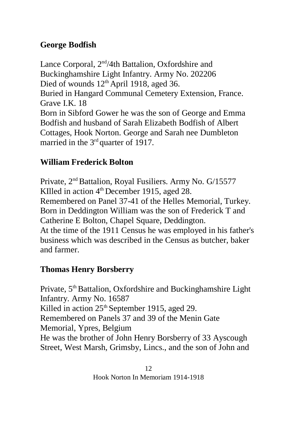#### **George Bodfish**

Lance Corporal,  $2<sup>nd</sup>/4th$  Battalion, Oxfordshire and Buckinghamshire Light Infantry. Army No. 202206 Died of wounds  $12<sup>th</sup>$  April 1918, aged 36. Buried in Hangard Communal Cemetery Extension, France. Grave I.K. 18 Born in Sibford Gower he was the son of George and Emma Bodfish and husband of Sarah Elizabeth Bodfish of Albert Cottages, Hook Norton. George and Sarah nee Dumbleton married in the 3<sup>rd</sup> quarter of 1917.

## **William Frederick Bolton**

Private, 2nd Battalion, Royal Fusiliers. Army No. G/15577 KIlled in action  $4<sup>th</sup>$  December 1915, aged 28. Remembered on Panel 37-41 of the Helles Memorial, Turkey. Born in Deddington William was the son of Frederick T and Catherine E Bolton, Chapel Square, Deddington. At the time of the 1911 Census he was employed in his father's business which was described in the Census as butcher, baker and farmer.

## **Thomas Henry Borsberry**

Private, 5<sup>th</sup> Battalion, Oxfordshire and Buckinghamshire Light Infantry. Army No. 16587 Killed in action  $25<sup>th</sup>$  September 1915, aged 29. Remembered on Panels 37 and 39 of the Menin Gate Memorial, Ypres, Belgium He was the brother of John Henry Borsberry of 33 Ayscough Street, West Marsh, Grimsby, Lincs., and the son of John and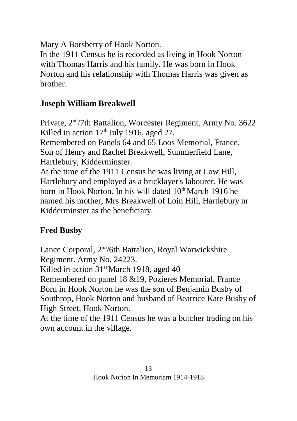Mary A Borsberry of Hook Norton.

In the 1911 Census he is recorded as living in Hook Norton with Thomas Harris and his family. He was born in Hook Norton and his relationship with Thomas Harris was given as brother.

#### **Joseph William Breakwell**

Private, 2<sup>nd</sup>/7th Battalion, Worcester Regiment. Army No. 3622 Killed in action  $17<sup>th</sup>$  July 1916, aged 27.

Remembered on Panels 64 and 65 Loos Memorial, France. Son of Henry and Rachel Breakwell, Summerfield Lane, Hartlebury, Kidderminster.

At the time of the 1911 Census he was living at Low Hill, Hartlebury and employed as a bricklayer's labourer. He was born in Hook Norton. In his will dated  $10<sup>th</sup>$  March 1916 he named his mother, Mrs Breakwell of Loin Hill, Hartlebury nr Kidderminster as the beneficiary.

# **Fred Busby**

Lance Corporal, 2<sup>nd</sup>/6th Battalion, Royal Warwickshire Regiment. Army No. 24223.

Killed in action  $31<sup>st</sup>$  March 1918, aged 40

Remembered on panel 18 &19, Pozieres Memorial, France Born in Hook Norton he was the son of Benjamin Busby of Southrop, Hook Norton and husband of Beatrice Kate Busby of High Street, Hook Norton.

At the time of the 1911 Census he was a butcher trading on his own account in the village.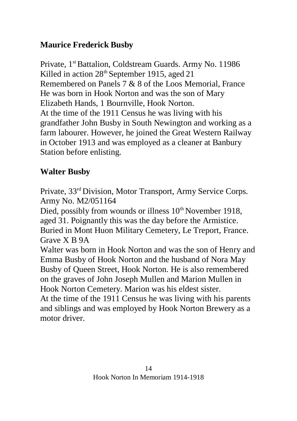# **Maurice Frederick Busby**

Private, 1<sup>st</sup> Battalion, Coldstream Guards. Army No. 11986 Killed in action  $28<sup>th</sup>$  September 1915, aged 21 Remembered on Panels 7 & 8 of the Loos Memorial, France He was born in Hook Norton and was the son of Mary Elizabeth Hands, 1 Bournville, Hook Norton. At the time of the 1911 Census he was living with his grandfather John Busby in South Newington and working as a farm labourer. However, he joined the Great Western Railway in October 1913 and was employed as a cleaner at Banbury Station before enlisting.

#### **Walter Busby**

Private, 33rd Division, Motor Transport, Army Service Corps. Army No. M2/051164

Died, possibly from wounds or illness  $10<sup>th</sup>$  November 1918, aged 31. Poignantly this was the day before the Armistice. Buried in Mont Huon Military Cemetery, Le Treport, France. Grave X B 9A

Walter was born in Hook Norton and was the son of Henry and Emma Busby of Hook Norton and the husband of Nora May Busby of Queen Street, Hook Norton. He is also remembered on the graves of John Joseph Mullen and Marion Mullen in Hook Norton Cemetery. Marion was his eldest sister.

At the time of the 1911 Census he was living with his parents and siblings and was employed by Hook Norton Brewery as a motor driver.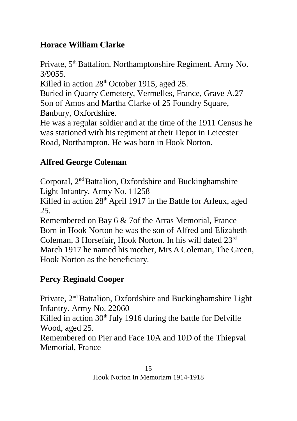## **Horace William Clarke**

Private, 5th Battalion, Northamptonshire Regiment. Army No. 3/9055. Killed in action  $28<sup>th</sup>$  October 1915, aged 25. Buried in Quarry Cemetery, Vermelles, France, Grave A.27 Son of Amos and Martha Clarke of 25 Foundry Square, Banbury, Oxfordshire.

He was a regular soldier and at the time of the 1911 Census he was stationed with his regiment at their Depot in Leicester Road, Northampton. He was born in Hook Norton.

# **Alfred George Coleman**

Corporal, 2nd Battalion, Oxfordshire and Buckinghamshire Light Infantry. Army No. 11258

Killed in action  $28<sup>th</sup>$  April 1917 in the Battle for Arleux, aged 25.

Remembered on Bay 6 & 7of the Arras Memorial, France Born in Hook Norton he was the son of Alfred and Elizabeth Coleman, 3 Horsefair, Hook Norton. In his will dated 23rd March 1917 he named his mother, Mrs A Coleman, The Green, Hook Norton as the beneficiary.

# **Percy Reginald Cooper**

Private, 2nd Battalion, Oxfordshire and Buckinghamshire Light Infantry. Army No. 22060 Killed in action  $30<sup>th</sup>$  July 1916 during the battle for Delville Wood, aged 25. Remembered on Pier and Face 10A and 10D of the Thiepval Memorial, France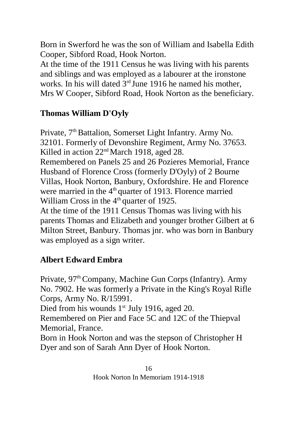Born in Swerford he was the son of William and Isabella Edith Cooper, Sibford Road, Hook Norton.

At the time of the 1911 Census he was living with his parents and siblings and was employed as a labourer at the ironstone works. In his will dated  $3<sup>rd</sup>$  June 1916 he named his mother, Mrs W Cooper, Sibford Road, Hook Norton as the beneficiary.

#### **Thomas William D'Oyly**

Private, 7<sup>th</sup> Battalion, Somerset Light Infantry. Army No. 32101. Formerly of Devonshire Regiment, Army No. 37653. Killed in action 22<sup>nd</sup> March 1918, aged 28. Remembered on Panels 25 and 26 Pozieres Memorial, France Husband of Florence Cross (formerly D'Oyly) of 2 Bourne Villas, Hook Norton, Banbury, Oxfordshire. He and Florence were married in the 4<sup>th</sup> quarter of 1913. Florence married William Cross in the  $4<sup>th</sup>$  quarter of 1925.

At the time of the 1911 Census Thomas was living with his parents Thomas and Elizabeth and younger brother Gilbert at 6 Milton Street, Banbury. Thomas jnr. who was born in Banbury was employed as a sign writer.

## **Albert Edward Embra**

Private, 97<sup>th</sup> Company, Machine Gun Corps (Infantry). Army No. 7902. He was formerly a Private in the King's Royal Rifle Corps, Army No. R/15991.

Died from his wounds  $1<sup>st</sup>$  July 1916, aged 20.

Remembered on Pier and Face 5C and 12C of the Thiepval Memorial, France.

Born in Hook Norton and was the stepson of Christopher H Dyer and son of Sarah Ann Dyer of Hook Norton.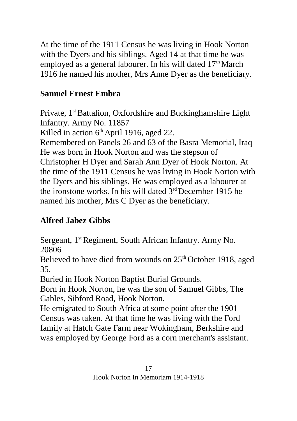At the time of the 1911 Census he was living in Hook Norton with the Dyers and his siblings. Aged 14 at that time he was employed as a general labourer. In his will dated  $17<sup>th</sup>$  March 1916 he named his mother, Mrs Anne Dyer as the beneficiary.

## **Samuel Ernest Embra**

Private, 1<sup>st</sup> Battalion, Oxfordshire and Buckinghamshire Light Infantry. Army No. 11857 Killed in action  $6<sup>th</sup>$  April 1916, aged 22. Remembered on Panels 26 and 63 of the Basra Memorial, Iraq He was born in Hook Norton and was the stepson of Christopher H Dyer and Sarah Ann Dyer of Hook Norton. At the time of the 1911 Census he was living in Hook Norton with the Dyers and his siblings. He was employed as a labourer at the ironstone works. In his will dated  $3<sup>rd</sup>$  December 1915 he named his mother, Mrs C Dyer as the beneficiary.

# **Alfred Jabez Gibbs**

Sergeant, 1st Regiment, South African Infantry. Army No. 20806

Believed to have died from wounds on  $25<sup>th</sup>$  October 1918, aged 35.

Buried in Hook Norton Baptist Burial Grounds.

Born in Hook Norton, he was the son of Samuel Gibbs, The Gables, Sibford Road, Hook Norton.

He emigrated to South Africa at some point after the 1901 Census was taken. At that time he was living with the Ford family at Hatch Gate Farm near Wokingham, Berkshire and was employed by George Ford as a corn merchant's assistant.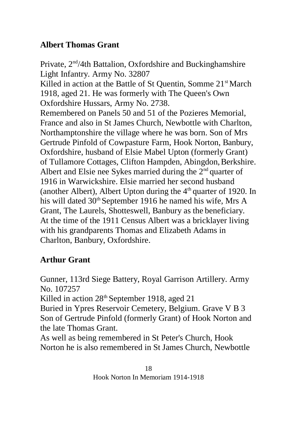#### **Albert Thomas Grant**

Private,  $2<sup>nd</sup>/4th$  Battalion, Oxfordshire and Buckinghamshire Light Infantry. Army No. 32807 Killed in action at the Battle of St Quentin, Somme 21<sup>st</sup> March 1918, aged 21. He was formerly with The Queen's Own Oxfordshire Hussars, Army No. 2738. Remembered on Panels 50 and 51 of the Pozieres Memorial, France and also in St James Church, Newbottle with Charlton, Northamptonshire the village where he was born. Son of Mrs Gertrude Pinfold of Cowpasture Farm, Hook Norton, Banbury, Oxfordshire, husband of Elsie Mabel Upton (formerly Grant) of Tullamore Cottages, Clifton Hampden, Abingdon, Berkshire. Albert and Elsie nee Sykes married during the  $2<sup>nd</sup>$  quarter of 1916 in Warwickshire. Elsie married her second husband (another Albert), Albert Upton during the  $4<sup>th</sup>$  quarter of 1920. In his will dated 30<sup>th</sup> September 1916 he named his wife, Mrs A Grant, The Laurels, Shotteswell, Banbury as the beneficiary. At the time of the 1911 Census Albert was a bricklayer living with his grandparents Thomas and Elizabeth Adams in Charlton, Banbury, Oxfordshire.

## **Arthur Grant**

Gunner, 113rd Siege Battery, Royal Garrison Artillery. Army No. 107257 Killed in action 28<sup>th</sup> September 1918, aged 21 Buried in Ypres Reservoir Cemetery, Belgium. Grave V B 3 Son of Gertrude Pinfold (formerly Grant) of Hook Norton and the late Thomas Grant. As well as being remembered in St Peter's Church, Hook

Norton he is also remembered in St James Church, Newbottle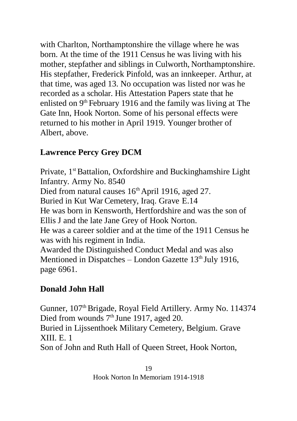with Charlton, Northamptonshire the village where he was born. At the time of the 1911 Census he was living with his mother, stepfather and siblings in Culworth, Northamptonshire. His stepfather, Frederick Pinfold, was an innkeeper. Arthur, at that time, was aged 13. No occupation was listed nor was he recorded as a scholar. His Attestation Papers state that he enlisted on  $9<sup>th</sup>$  February 1916 and the family was living at The Gate Inn, Hook Norton. Some of his personal effects were returned to his mother in April 1919. Younger brother of Albert, above.

#### **Lawrence Percy Grey DCM**

Private, 1<sup>st</sup> Battalion, Oxfordshire and Buckinghamshire Light Infantry. Army No. 8540 Died from natural causes  $16<sup>th</sup>$  April 1916, aged 27. Buried in Kut War Cemetery, Iraq. Grave E.14 He was born in Kensworth, Hertfordshire and was the son of Ellis J and the late Jane Grey of Hook Norton. He was a career soldier and at the time of the 1911 Census he was with his regiment in India. Awarded the Distinguished Conduct Medal and was also Mentioned in Dispatches – London Gazette  $13<sup>th</sup>$  July 1916, page 6961.

#### **Donald John Hall**

Gunner, 107<sup>th</sup> Brigade, Royal Field Artillery. Army No. 114374 Died from wounds  $7<sup>th</sup>$  June 1917, aged 20. Buried in Lijssenthoek Military Cemetery, Belgium. Grave XIII. E. 1 Son of John and Ruth Hall of Queen Street, Hook Norton,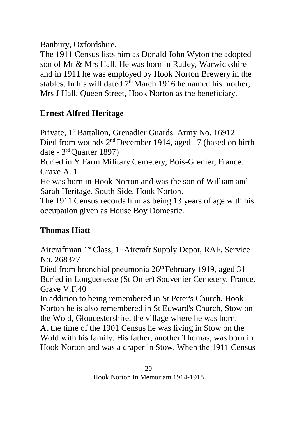Banbury, Oxfordshire.

The 1911 Census lists him as Donald John Wyton the adopted son of Mr & Mrs Hall. He was born in Ratley, Warwickshire and in 1911 he was employed by Hook Norton Brewery in the stables. In his will dated  $7<sup>th</sup>$  March 1916 he named his mother, Mrs J Hall, Queen Street, Hook Norton as the beneficiary.

## **Ernest Alfred Heritage**

Private, 1<sup>st</sup> Battalion, Grenadier Guards. Army No. 16912 Died from wounds 2<sup>nd</sup> December 1914, aged 17 (based on birth date - 3<sup>rd</sup> Quarter 1897) Buried in Y Farm Military Cemetery, Bois-Grenier, France. Grave A. 1 He was born in Hook Norton and was the son of William and Sarah Heritage, South Side, Hook Norton. The 1911 Census records him as being 13 years of age with his occupation given as House Boy Domestic.

# **Thomas Hiatt**

Aircraftman 1st Class, 1st Aircraft Supply Depot, RAF. Service No. 268377

Died from bronchial pneumonia 26<sup>th</sup> February 1919, aged 31 Buried in Longuenesse (St Omer) Souvenier Cemetery, France. Grave V.F.40

In addition to being remembered in St Peter's Church, Hook Norton he is also remembered in St Edward's Church, Stow on the Wold, Gloucestershire, the village where he was born. At the time of the 1901 Census he was living in Stow on the Wold with his family. His father, another Thomas, was born in Hook Norton and was a draper in Stow. When the 1911 Census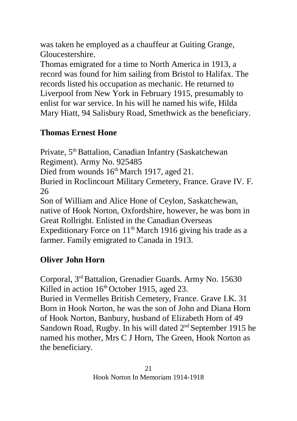was taken he employed as a chauffeur at Guiting Grange, Gloucestershire.

Thomas emigrated for a time to North America in 1913, a record was found for him sailing from Bristol to Halifax. The records listed his occupation as mechanic. He returned to Liverpool from New York in February 1915, presumably to enlist for war service. In his will he named his wife, Hilda Mary Hiatt, 94 Salisbury Road, Smethwick as the beneficiary.

#### **Thomas Ernest Hone**

Private, 5<sup>th</sup> Battalion, Canadian Infantry (Saskatchewan Regiment). Army No. 925485 Died from wounds  $16<sup>th</sup> March 1917$ , aged 21. Buried in Roclincourt Military Cemetery, France. Grave IV. F. 26 Son of William and Alice Hone of Ceylon, Saskatchewan,

native of Hook Norton, Oxfordshire, however, he was born in Great Rollright. Enlisted in the Canadian Overseas Expeditionary Force on  $11<sup>th</sup>$  March 1916 giving his trade as a farmer. Family emigrated to Canada in 1913.

#### **Oliver John Horn**

Corporal, 3rd Battalion, Grenadier Guards. Army No. 15630 Killed in action 16<sup>th</sup> October 1915, aged 23. Buried in Vermelles British Cemetery, France. Grave I.K. 31 Born in Hook Norton, he was the son of John and Diana Horn of Hook Norton, Banbury, husband of Elizabeth Horn of 49 Sandown Road, Rugby. In his will dated  $2<sup>nd</sup>$  September 1915 he named his mother, Mrs C J Horn, The Green, Hook Norton as the beneficiary.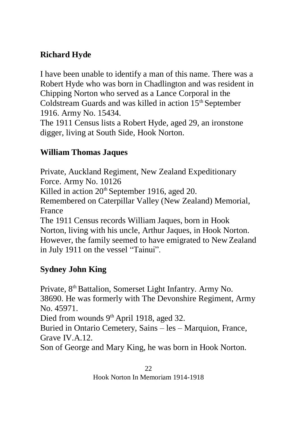# **Richard Hyde**

I have been unable to identify a man of this name. There was a Robert Hyde who was born in Chadlington and was resident in Chipping Norton who served as a Lance Corporal in the Coldstream Guards and was killed in action  $15<sup>th</sup>$  September 1916. Army No. 15434.

The 1911 Census lists a Robert Hyde, aged 29, an ironstone digger, living at South Side, Hook Norton.

## **William Thomas Jaques**

Private, Auckland Regiment, New Zealand Expeditionary Force. Army No. 10126 Killed in action  $20<sup>th</sup>$  September 1916, aged 20. Remembered on Caterpillar Valley (New Zealand) Memorial, France The 1911 Census records William Jaques, born in Hook Norton, living with his uncle, Arthur Jaques, in Hook Norton. However, the family seemed to have emigrated to New Zealand in July 1911 on the vessel "Tainui".

## **Sydney John King**

Private, 8<sup>th</sup> Battalion, Somerset Light Infantry. Army No. 38690. He was formerly with The Devonshire Regiment, Army No. 45971.

Died from wounds  $9<sup>th</sup>$  April 1918, aged 32.

Buried in Ontario Cemetery, Sains – les – Marquion, France, Grave IV.A.12.

Son of George and Mary King, he was born in Hook Norton.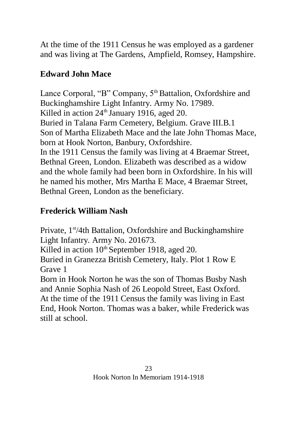At the time of the 1911 Census he was employed as a gardener and was living at The Gardens, Ampfield, Romsey, Hampshire.

#### **Edward John Mace**

Lance Corporal, "B" Company, 5<sup>th</sup> Battalion, Oxfordshire and Buckinghamshire Light Infantry. Army No. 17989. Killed in action  $24<sup>th</sup>$  January 1916, aged 20. Buried in Talana Farm Cemetery, Belgium. Grave III.B.1 Son of Martha Elizabeth Mace and the late John Thomas Mace, born at Hook Norton, Banbury, Oxfordshire. In the 1911 Census the family was living at 4 Braemar Street, Bethnal Green, London. Elizabeth was described as a widow and the whole family had been born in Oxfordshire. In his will he named his mother, Mrs Martha E Mace, 4 Braemar Street, Bethnal Green, London as the beneficiary.

#### **Frederick William Nash**

Private, 1<sup>st</sup>/4th Battalion, Oxfordshire and Buckinghamshire Light Infantry. Army No. 201673. Killed in action  $10<sup>th</sup>$  September 1918, aged 20. Buried in Granezza British Cemetery, Italy. Plot 1 Row E Grave 1 Born in Hook Norton he was the son of Thomas Busby Nash and Annie Sophia Nash of 26 Leopold Street, East Oxford. At the time of the 1911 Census the family was living in East End, Hook Norton. Thomas was a baker, while Frederick was still at school.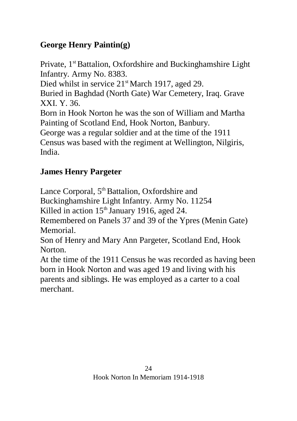# **George Henry Paintin(g)**

Private, 1<sup>st</sup> Battalion, Oxfordshire and Buckinghamshire Light Infantry. Army No. 8383. Died whilst in service 21<sup>st</sup> March 1917, aged 29. Buried in Baghdad (North Gate) War Cemetery, Iraq. Grave XXI. Y. 36. Born in Hook Norton he was the son of William and Martha Painting of Scotland End, Hook Norton, Banbury. George was a regular soldier and at the time of the 1911 Census was based with the regiment at Wellington, Nilgiris, India.

## **James Henry Pargeter**

Lance Corporal, 5<sup>th</sup> Battalion, Oxfordshire and Buckinghamshire Light Infantry. Army No. 11254 Killed in action  $15<sup>th</sup>$  January 1916, aged 24. Remembered on Panels 37 and 39 of the Ypres (Menin Gate) Memorial. Son of Henry and Mary Ann Pargeter, Scotland End, Hook Norton.

At the time of the 1911 Census he was recorded as having been born in Hook Norton and was aged 19 and living with his parents and siblings. He was employed as a carter to a coal merchant.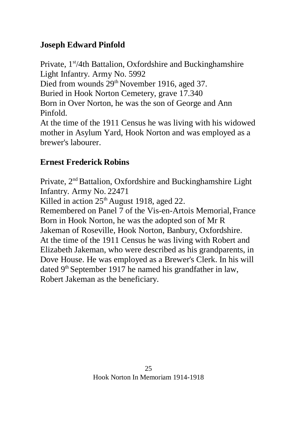#### **Joseph Edward Pinfold**

Private, 1<sup>st</sup>/4th Battalion, Oxfordshire and Buckinghamshire Light Infantry. Army No. 5992 Died from wounds  $29<sup>th</sup>$  November 1916, aged 37. Buried in Hook Norton Cemetery, grave 17.340 Born in Over Norton, he was the son of George and Ann Pinfold. At the time of the 1911 Census he was living with his widowed mother in Asylum Yard, Hook Norton and was employed as a brewer's labourer.

#### **Ernest Frederick Robins**

Private, 2nd Battalion, Oxfordshire and Buckinghamshire Light Infantry. Army No. 22471 Killed in action  $25<sup>th</sup>$  August 1918, aged 22. Remembered on Panel 7 of the Vis-en-Artois Memorial, France Born in Hook Norton, he was the adopted son of Mr R Jakeman of Roseville, Hook Norton, Banbury, Oxfordshire. At the time of the 1911 Census he was living with Robert and Elizabeth Jakeman, who were described as his grandparents, in Dove House. He was employed as a Brewer's Clerk. In his will dated 9<sup>th</sup> September 1917 he named his grandfather in law, Robert Jakeman as the beneficiary.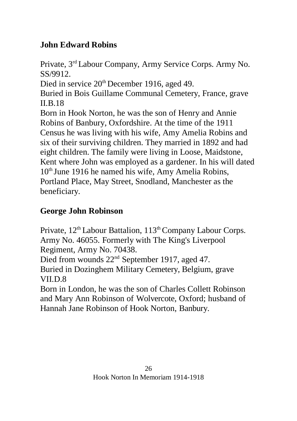# **John Edward Robins**

Private, 3rd Labour Company, Army Service Corps. Army No. SS/9912. Died in service 20<sup>th</sup> December 1916, aged 49. Buried in Bois Guillame Communal Cemetery, France, grave II.B.18 Born in Hook Norton, he was the son of Henry and Annie Robins of Banbury, Oxfordshire. At the time of the 1911 Census he was living with his wife, Amy Amelia Robins and six of their surviving children. They married in 1892 and had eight children. The family were living in Loose, Maidstone, Kent where John was employed as a gardener. In his will dated  $10<sup>th</sup>$  June 1916 he named his wife, Amy Amelia Robins, Portland Place, May Street, Snodland, Manchester as the beneficiary.

# **George John Robinson**

Private, 12<sup>th</sup> Labour Battalion, 113<sup>th</sup> Company Labour Corps. Army No. 46055. Formerly with The King's Liverpool Regiment, Army No. 70438.

Died from wounds 22nd September 1917, aged 47.

Buried in Dozinghem Military Cemetery, Belgium, grave VII.D.8

Born in London, he was the son of Charles Collett Robinson and Mary Ann Robinson of Wolvercote, Oxford; husband of Hannah Jane Robinson of Hook Norton, Banbury.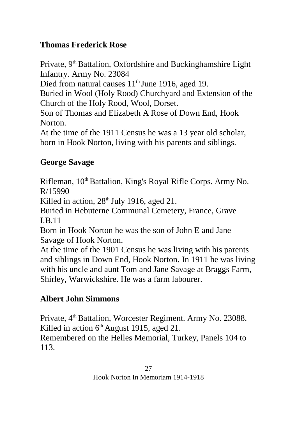## **Thomas Frederick Rose**

Private, 9<sup>th</sup> Battalion, Oxfordshire and Buckinghamshire Light Infantry. Army No. 23084 Died from natural causes  $11<sup>th</sup>$  June 1916, aged 19.

Buried in Wool (Holy Rood) Churchyard and Extension of the Church of the Holy Rood, Wool, Dorset.

Son of Thomas and Elizabeth A Rose of Down End, Hook Norton.

At the time of the 1911 Census he was a 13 year old scholar, born in Hook Norton, living with his parents and siblings.

# **George Savage**

Rifleman, 10<sup>th</sup> Battalion, King's Royal Rifle Corps. Army No. R/15990

Killed in action,  $28<sup>th</sup>$  July 1916, aged 21.

Buried in Hebuterne Communal Cemetery, France, Grave I.B.11

Born in Hook Norton he was the son of John E and Jane Savage of Hook Norton.

At the time of the 1901 Census he was living with his parents and siblings in Down End, Hook Norton. In 1911 he was living with his uncle and aunt Tom and Jane Savage at Braggs Farm, Shirley, Warwickshire. He was a farm labourer.

# **Albert John Simmons**

Private, 4<sup>th</sup> Battalion, Worcester Regiment. Army No. 23088. Killed in action  $6<sup>th</sup>$  August 1915, aged 21.

Remembered on the Helles Memorial, Turkey, Panels 104 to 113.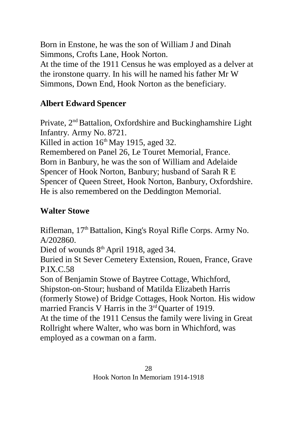Born in Enstone, he was the son of William J and Dinah Simmons, Crofts Lane, Hook Norton.

At the time of the 1911 Census he was employed as a delver at the ironstone quarry. In his will he named his father Mr W Simmons, Down End, Hook Norton as the beneficiary.

# **Albert Edward Spencer**

Private, 2nd Battalion, Oxfordshire and Buckinghamshire Light Infantry. Army No. 8721. Killed in action  $16<sup>th</sup>$  May 1915, aged 32. Remembered on Panel 26, Le Touret Memorial, France. Born in Banbury, he was the son of William and Adelaide Spencer of Hook Norton, Banbury; husband of Sarah R E Spencer of Queen Street, Hook Norton, Banbury, Oxfordshire. He is also remembered on the Deddington Memorial.

# **Walter Stowe**

Rifleman, 17<sup>th</sup> Battalion, King's Royal Rifle Corps. Army No. A/202860.

Died of wounds 8<sup>th</sup> April 1918, aged 34.

Buried in St Sever Cemetery Extension, Rouen, France, Grave P.IX.C.58

Son of Benjamin Stowe of Baytree Cottage, Whichford, Shipston-on-Stour; husband of Matilda Elizabeth Harris (formerly Stowe) of Bridge Cottages, Hook Norton. His widow married Francis V Harris in the 3<sup>rd</sup> Quarter of 1919. At the time of the 1911 Census the family were living in Great Rollright where Walter, who was born in Whichford, was employed as a cowman on a farm.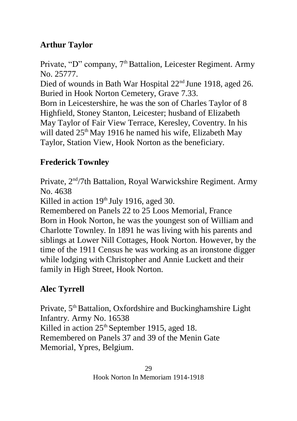#### **Arthur Taylor**

Private, "D" company, 7<sup>th</sup> Battalion, Leicester Regiment. Army No. 25777. Died of wounds in Bath War Hospital 22<sup>nd</sup> June 1918, aged 26. Buried in Hook Norton Cemetery, Grave 7.33. Born in Leicestershire, he was the son of Charles Taylor of 8 Highfield, Stoney Stanton, Leicester; husband of Elizabeth May Taylor of Fair View Terrace, Keresley, Coventry. In his will dated  $25<sup>th</sup>$  May 1916 he named his wife, Elizabeth May Taylor, Station View, Hook Norton as the beneficiary.

# **Frederick Townley**

Private, 2nd/7th Battalion, Royal Warwickshire Regiment. Army No. 4638

Killed in action  $19<sup>th</sup>$  July 1916, aged 30.

Remembered on Panels 22 to 25 Loos Memorial, France Born in Hook Norton, he was the youngest son of William and Charlotte Townley. In 1891 he was living with his parents and siblings at Lower Nill Cottages, Hook Norton. However, by the time of the 1911 Census he was working as an ironstone digger while lodging with Christopher and Annie Luckett and their family in High Street, Hook Norton.

# **Alec Tyrrell**

Private, 5th Battalion, Oxfordshire and Buckinghamshire Light Infantry. Army No. 16538 Killed in action  $25<sup>th</sup>$  September 1915, aged 18. Remembered on Panels 37 and 39 of the Menin Gate Memorial, Ypres, Belgium.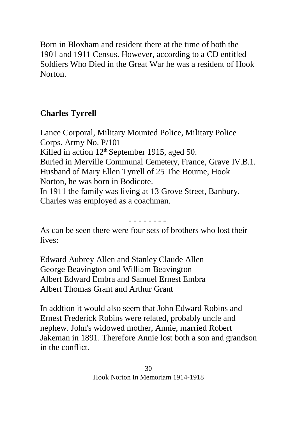Born in Bloxham and resident there at the time of both the 1901 and 1911 Census. However, according to a CD entitled Soldiers Who Died in the Great War he was a resident of Hook Norton.

# **Charles Tyrrell**

Lance Corporal, Military Mounted Police, Military Police Corps. Army No. P/101 Killed in action  $12<sup>th</sup>$  September 1915, aged 50. Buried in Merville Communal Cemetery, France, Grave IV.B.1. Husband of Mary Ellen Tyrrell of 25 The Bourne, Hook Norton, he was born in Bodicote. In 1911 the family was living at 13 Grove Street, Banbury. Charles was employed as a coachman.

- - - - - - - -

As can be seen there were four sets of brothers who lost their lives:

Edward Aubrey Allen and Stanley Claude Allen George Beavington and William Beavington Albert Edward Embra and Samuel Ernest Embra Albert Thomas Grant and Arthur Grant

In addtion it would also seem that John Edward Robins and Ernest Frederick Robins were related, probably uncle and nephew. John's widowed mother, Annie, married Robert Jakeman in 1891. Therefore Annie lost both a son and grandson in the conflict.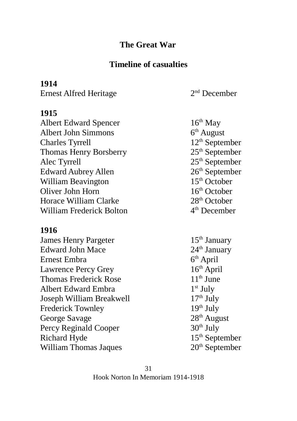#### **The Great War**

#### **Timeline of casualties**

#### **1914**

| <b>Ernest Alfred Heritage</b> | $2nd$ December             |
|-------------------------------|----------------------------|
| 1915                          |                            |
| <b>Albert Edward Spencer</b>  | 16 <sup>th</sup> May       |
| <b>Albert John Simmons</b>    | $6th$ August               |
| <b>Charles Tyrrell</b>        | 12 <sup>th</sup> September |
| Thomas Henry Borsberry        | 25 <sup>th</sup> September |
| Alec Tyrrell                  | $25th$ September           |
| <b>Edward Aubrey Allen</b>    | 26 <sup>th</sup> September |
| William Beavington            | 15 <sup>th</sup> October   |
| Oliver John Horn              | 16 <sup>th</sup> October   |
| Horace William Clarke         | 28 <sup>th</sup> October   |
| William Frederick Bolton      | $4th$ December             |
|                               |                            |

#### **1916**

| <b>James Henry Pargeter</b>  | $15th$ January             |
|------------------------------|----------------------------|
| <b>Edward John Mace</b>      | 24 <sup>th</sup> January   |
| Ernest Embra                 | $6th$ April                |
| Lawrence Percy Grey          | 16 <sup>th</sup> April     |
| <b>Thomas Frederick Rose</b> | $11th$ June                |
| Albert Edward Embra          | $1st$ July                 |
| Joseph William Breakwell     | $17th$ July                |
| <b>Frederick Townley</b>     | $19th$ July                |
| George Savage                | $28th$ August              |
| Percy Reginald Cooper        | $30th$ July                |
| <b>Richard Hyde</b>          | 15 <sup>th</sup> September |
| William Thomas Jaques        | $20th$ September           |
|                              |                            |

31 Hook Norton In Memoriam 1914-1918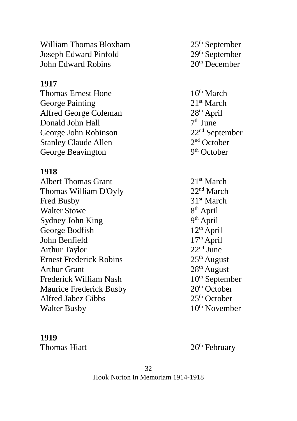William Thomas Bloxham 25<sup>th</sup> September Joseph Edward Pinfold 29<sup>th</sup> September John Edward Robins 20<sup>th</sup> December

#### **1917**

Thomas Ernest Hone 16<sup>th</sup> March George Painting  $21^{st}$  March Alfred George Coleman 28<sup>th</sup> April Donald John Hall George John Robinson 22<sup>nd</sup> September Stanley Claude Allen George Beavington

#### **1918**

Albert Thomas Grant 21<sup>st</sup> March Thomas William D'Oyly 22<sup>nd</sup> March Fred Busby 31<sup>st</sup> March Walter Stowe Sydney John King 9 George Bodfish 12<sup>th</sup> April John Benfield 17<sup>th</sup> April<br>Arthur Taylor 22<sup>nd</sup> June Arthur Taylor Ernest Frederick Robins 25<sup>th</sup> August Arthur Grant 28<sup>th</sup> August Frederick William Nash 10<sup>th</sup> September Maurice Frederick Busby 20<sup>th</sup> October<br>Alfred Jabez Gibbs 25<sup>th</sup> October Alfred Jabez Gibbs Walter Busby 10<sup>th</sup> November

 $7<sup>th</sup>$  June  $2<sup>nd</sup>$  October <sup>9th</sup> October

8<sup>th</sup> April  $9<sup>th</sup>$  April

# **1919**

Thomas Hiatt  $26<sup>th</sup>$  February

32 Hook Norton In Memoriam 1914-1918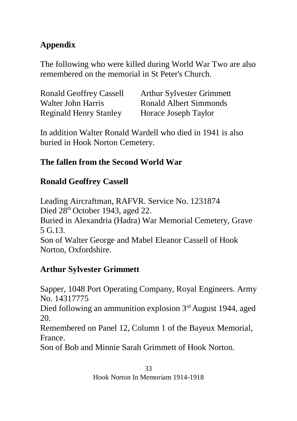# **Appendix**

The following who were killed during World War Two are also remembered on the memorial in St Peter's Church.

| <b>Ronald Geoffrey Cassell</b> | <b>Arthur Sylvester Grimmett</b> |
|--------------------------------|----------------------------------|
| Walter John Harris             | Ronald Albert Simmonds           |
| <b>Reginald Henry Stanley</b>  | Horace Joseph Taylor             |

In addition Walter Ronald Wardell who died in 1941 is also buried in Hook Norton Cemetery.

## **The fallen from the Second World War**

# **Ronald Geoffrey Cassell**

Leading Aircraftman, RAFVR. Service No. 1231874 Died 28<sup>th</sup> October 1943, aged 22. Buried in Alexandria (Hadra) War Memorial Cemetery, Grave 5 G.13. Son of Walter George and Mabel Eleanor Cassell of Hook Norton, Oxfordshire.

# **Arthur Sylvester Grimmett**

Sapper, 1048 Port Operating Company, Royal Engineers. Army No. 14317775

Died following an ammunition explosion 3rd August 1944, aged 20.

Remembered on Panel 12, Column 1 of the Bayeux Memorial, France.

Son of Bob and Minnie Sarah Grimmett of Hook Norton.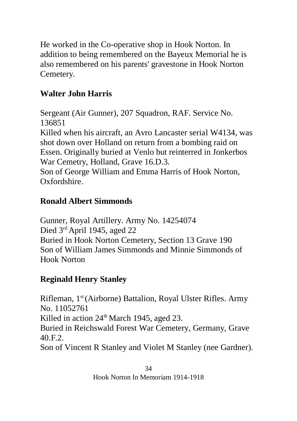He worked in the Co-operative shop in Hook Norton. In addition to being remembered on the Bayeux Memorial he is also remembered on his parents' gravestone in Hook Norton Cemetery.

## **Walter John Harris**

Sergeant (Air Gunner), 207 Squadron, RAF. Service No. 136851 Killed when his aircraft, an Avro Lancaster serial W4134, was shot down over Holland on return from a bombing raid on Essen. Originally buried at Venlo but reinterred in Jonkerbos War Cemetry, Holland, Grave 16.D.3. Son of George William and Emma Harris of Hook Norton,

Oxfordshire.

#### **Ronald Albert Simmonds**

Gunner, Royal Artillery. Army No. 14254074 Died 3rd April 1945, aged 22 Buried in Hook Norton Cemetery, Section 13 Grave 190 Son of William James Simmonds and Minnie Simmonds of Hook Norton

#### **Reginald Henry Stanley**

Rifleman, 1st (Airborne) Battalion, Royal Ulster Rifles. Army No. 11052761 Killed in action  $24<sup>th</sup>$  March 1945, aged 23. Buried in Reichswald Forest War Cemetery, Germany, Grave 40.F.2. Son of Vincent R Stanley and Violet M Stanley (nee Gardner).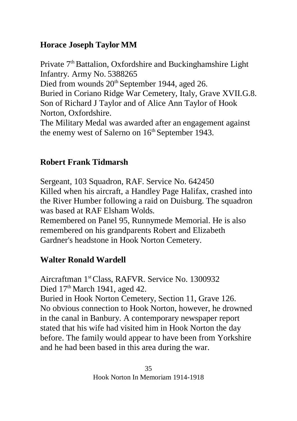# **Horace Joseph Taylor MM**

Private 7<sup>th</sup> Battalion, Oxfordshire and Buckinghamshire Light Infantry. Army No. 5388265 Died from wounds  $20<sup>th</sup>$  September 1944, aged 26. Buried in Coriano Ridge War Cemetery, Italy, Grave XVII.G.8. Son of Richard J Taylor and of Alice Ann Taylor of Hook Norton, Oxfordshire. The Military Medal was awarded after an engagement against

the enemy west of Salerno on  $16<sup>th</sup>$  September 1943.

# **Robert Frank Tidmarsh**

Sergeant, 103 Squadron, RAF. Service No. 642450 Killed when his aircraft, a Handley Page Halifax, crashed into the River Humber following a raid on Duisburg. The squadron was based at RAF Elsham Wolds. Remembered on Panel 95, Runnymede Memorial. He is also

remembered on his grandparents Robert and Elizabeth Gardner's headstone in Hook Norton Cemetery.

# **Walter Ronald Wardell**

Aircraftman 1st Class, RAFVR. Service No. 1300932 Died 17<sup>th</sup> March 1941, aged 42.

Buried in Hook Norton Cemetery, Section 11, Grave 126. No obvious connection to Hook Norton, however, he drowned in the canal in Banbury. A contemporary newspaper report stated that his wife had visited him in Hook Norton the day before. The family would appear to have been from Yorkshire and he had been based in this area during the war.